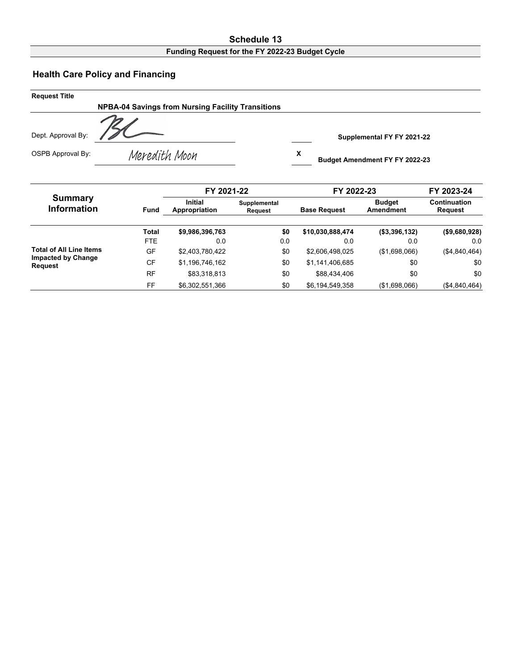## **Schedule 13**

## **Funding Request for the FY 2022-23 Budget Cycle**

## **Health Care Policy and Financing**

| <b>Request Title</b> |                                                          |                                            |
|----------------------|----------------------------------------------------------|--------------------------------------------|
|                      | <b>NPBA-04 Savings from Nursing Facility Transitions</b> |                                            |
| Dept. Approval By:   |                                                          | Supplemental FY FY 2021-22                 |
| OSPB Approval By:    | Meredith Moon                                            | x<br><b>Budget Amendment FY FY 2022-23</b> |

|                                             |             | FY 2021-22                      |                         | FY 2022-23          |                            | FY 2023-24                     |
|---------------------------------------------|-------------|---------------------------------|-------------------------|---------------------|----------------------------|--------------------------------|
| Summary<br><b>Information</b>               | <b>Fund</b> | <b>Initial</b><br>Appropriation | Supplemental<br>Request | <b>Base Request</b> | <b>Budget</b><br>Amendment | Continuation<br><b>Request</b> |
|                                             | Total       | \$9,986,396,763                 | \$0                     | \$10,030,888,474    | (\$3,396,132)              | (\$9,680,928)                  |
|                                             | <b>FTE</b>  | 0.0                             | 0.0                     | 0.0                 | 0.0                        | 0.0                            |
| <b>Total of All Line Items</b>              | GF          | \$2,403,780,422                 | \$0                     | \$2,606,498,025     | (\$1,698,066)              | (\$4,840,464)                  |
| <b>Impacted by Change</b><br><b>Request</b> | CF          | \$1,196,746,162                 | \$0                     | \$1,141,406,685     | \$0                        | \$0                            |
|                                             | <b>RF</b>   | \$83.318.813                    | \$0                     | \$88,434,406        | \$0                        | \$0                            |
|                                             | FF          | \$6,302,551,366                 | \$0                     | \$6,194,549,358     | (\$1,698,066)              | (\$4,840,464)                  |